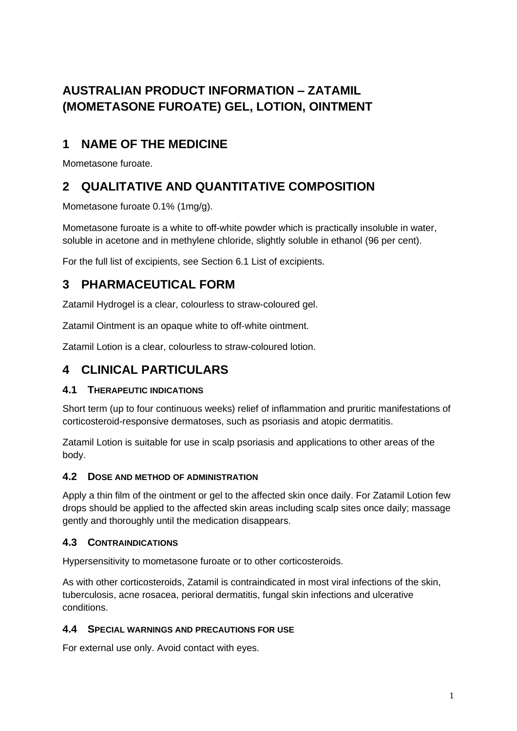# **AUSTRALIAN PRODUCT INFORMATION – ZATAMIL (MOMETASONE FUROATE) GEL, LOTION, OINTMENT**

# **1 NAME OF THE MEDICINE**

Mometasone furoate.

# **2 QUALITATIVE AND QUANTITATIVE COMPOSITION**

Mometasone furoate 0.1% (1mg/g).

Mometasone furoate is a white to off-white powder which is practically insoluble in water, soluble in acetone and in methylene chloride, slightly soluble in ethanol (96 per cent).

For the full list of excipients, see Section 6.1 List of excipients.

# **3 PHARMACEUTICAL FORM**

Zatamil Hydrogel is a clear, colourless to straw-coloured gel.

Zatamil Ointment is an opaque white to off-white ointment.

Zatamil Lotion is a clear, colourless to straw-coloured lotion.

# **4 CLINICAL PARTICULARS**

## **4.1 THERAPEUTIC INDICATIONS**

Short term (up to four continuous weeks) relief of inflammation and pruritic manifestations of corticosteroid-responsive dermatoses, such as psoriasis and atopic dermatitis.

Zatamil Lotion is suitable for use in scalp psoriasis and applications to other areas of the body.

## **4.2 DOSE AND METHOD OF ADMINISTRATION**

Apply a thin film of the ointment or gel to the affected skin once daily. For Zatamil Lotion few drops should be applied to the affected skin areas including scalp sites once daily; massage gently and thoroughly until the medication disappears.

## **4.3 CONTRAINDICATIONS**

Hypersensitivity to mometasone furoate or to other corticosteroids.

As with other corticosteroids, Zatamil is contraindicated in most viral infections of the skin, tuberculosis, acne rosacea, perioral dermatitis, fungal skin infections and ulcerative conditions.

## **4.4 SPECIAL WARNINGS AND PRECAUTIONS FOR USE**

For external use only. Avoid contact with eyes.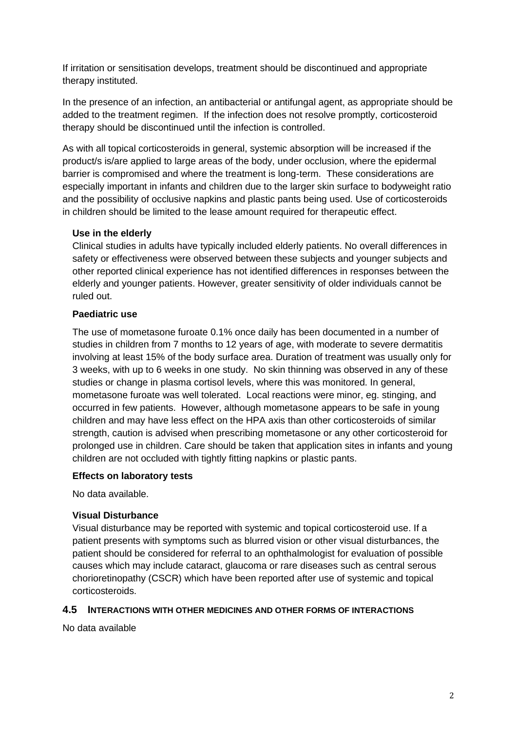If irritation or sensitisation develops, treatment should be discontinued and appropriate therapy instituted.

In the presence of an infection, an antibacterial or antifungal agent, as appropriate should be added to the treatment regimen. If the infection does not resolve promptly, corticosteroid therapy should be discontinued until the infection is controlled.

As with all topical corticosteroids in general, systemic absorption will be increased if the product/s is/are applied to large areas of the body, under occlusion, where the epidermal barrier is compromised and where the treatment is long-term. These considerations are especially important in infants and children due to the larger skin surface to bodyweight ratio and the possibility of occlusive napkins and plastic pants being used. Use of corticosteroids in children should be limited to the lease amount required for therapeutic effect.

#### **Use in the elderly**

Clinical studies in adults have typically included elderly patients. No overall differences in safety or effectiveness were observed between these subjects and younger subjects and other reported clinical experience has not identified differences in responses between the elderly and younger patients. However, greater sensitivity of older individuals cannot be ruled out.

#### **Paediatric use**

The use of mometasone furoate 0.1% once daily has been documented in a number of studies in children from 7 months to 12 years of age, with moderate to severe dermatitis involving at least 15% of the body surface area. Duration of treatment was usually only for 3 weeks, with up to 6 weeks in one study. No skin thinning was observed in any of these studies or change in plasma cortisol levels, where this was monitored. In general, mometasone furoate was well tolerated. Local reactions were minor, eg. stinging, and occurred in few patients. However, although mometasone appears to be safe in young children and may have less effect on the HPA axis than other corticosteroids of similar strength, caution is advised when prescribing mometasone or any other corticosteroid for prolonged use in children. Care should be taken that application sites in infants and young children are not occluded with tightly fitting napkins or plastic pants.

#### **Effects on laboratory tests**

No data available.

#### **Visual Disturbance**

Visual disturbance may be reported with systemic and topical corticosteroid use. If a patient presents with symptoms such as blurred vision or other visual disturbances, the patient should be considered for referral to an ophthalmologist for evaluation of possible causes which may include cataract, glaucoma or rare diseases such as central serous chorioretinopathy (CSCR) which have been reported after use of systemic and topical corticosteroids.

#### **4.5 INTERACTIONS WITH OTHER MEDICINES AND OTHER FORMS OF INTERACTIONS**

No data available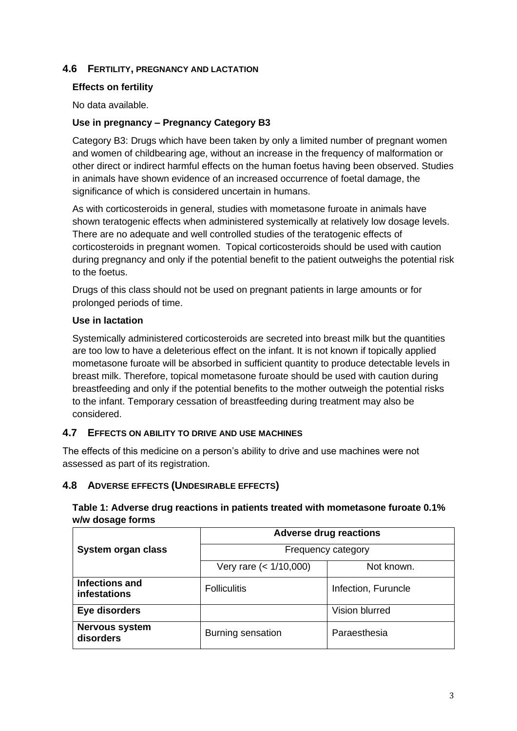### **4.6 FERTILITY, PREGNANCY AND LACTATION**

#### **Effects on fertility**

No data available.

#### **Use in pregnancy – Pregnancy Category B3**

Category B3: Drugs which have been taken by only a limited number of pregnant women and women of childbearing age, without an increase in the frequency of malformation or other direct or indirect harmful effects on the human foetus having been observed. Studies in animals have shown evidence of an increased occurrence of foetal damage, the significance of which is considered uncertain in humans.

As with corticosteroids in general, studies with mometasone furoate in animals have shown teratogenic effects when administered systemically at relatively low dosage levels. There are no adequate and well controlled studies of the teratogenic effects of corticosteroids in pregnant women. Topical corticosteroids should be used with caution during pregnancy and only if the potential benefit to the patient outweighs the potential risk to the foetus.

Drugs of this class should not be used on pregnant patients in large amounts or for prolonged periods of time.

#### **Use in lactation**

Systemically administered corticosteroids are secreted into breast milk but the quantities are too low to have a deleterious effect on the infant. It is not known if topically applied mometasone furoate will be absorbed in sufficient quantity to produce detectable levels in breast milk. Therefore, topical mometasone furoate should be used with caution during breastfeeding and only if the potential benefits to the mother outweigh the potential risks to the infant. Temporary cessation of breastfeeding during treatment may also be considered.

#### **4.7 EFFECTS ON ABILITY TO DRIVE AND USE MACHINES**

The effects of this medicine on a person's ability to drive and use machines were not assessed as part of its registration.

### **4.8 ADVERSE EFFECTS (UNDESIRABLE EFFECTS)**

## **Table 1: Adverse drug reactions in patients treated with mometasone furoate 0.1% w/w dosage forms Adverse drug reactions** ┱

|                                              | Adverse drug reactions |                     |
|----------------------------------------------|------------------------|---------------------|
| System organ class                           | Frequency category     |                     |
|                                              | Very rare $(1/10,000)$ | Not known.          |
| <b>Infections and</b><br><b>infestations</b> | <b>Folliculitis</b>    | Infection, Furuncle |
| Eye disorders                                |                        | Vision blurred      |
| <b>Nervous system</b><br>disorders           | Burning sensation      | Paraesthesia        |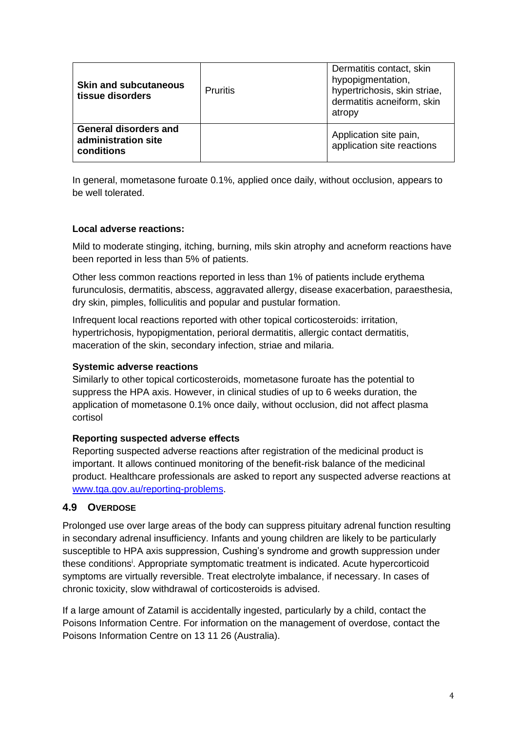| <b>Skin and subcutaneous</b><br>tissue disorders                  | <b>Pruritis</b> | Dermatitis contact, skin<br>hypopigmentation,<br>hypertrichosis, skin striae,<br>dermatitis acneiform, skin<br>atropy |
|-------------------------------------------------------------------|-----------------|-----------------------------------------------------------------------------------------------------------------------|
| <b>General disorders and</b><br>administration site<br>conditions |                 | Application site pain,<br>application site reactions                                                                  |

In general, mometasone furoate 0.1%, applied once daily, without occlusion, appears to be well tolerated.

#### **Local adverse reactions:**

Mild to moderate stinging, itching, burning, mils skin atrophy and acneform reactions have been reported in less than 5% of patients.

Other less common reactions reported in less than 1% of patients include erythema furunculosis, dermatitis, abscess, aggravated allergy, disease exacerbation, paraesthesia, dry skin, pimples, folliculitis and popular and pustular formation.

Infrequent local reactions reported with other topical corticosteroids: irritation, hypertrichosis, hypopigmentation, perioral dermatitis, allergic contact dermatitis, maceration of the skin, secondary infection, striae and milaria.

#### **Systemic adverse reactions**

Similarly to other topical corticosteroids, mometasone furoate has the potential to suppress the HPA axis. However, in clinical studies of up to 6 weeks duration, the application of mometasone 0.1% once daily, without occlusion, did not affect plasma cortisol

#### **Reporting suspected adverse effects**

Reporting suspected adverse reactions after registration of the medicinal product is important. It allows continued monitoring of the benefit-risk balance of the medicinal product. Healthcare professionals are asked to report any suspected adverse reactions at [www.tga.gov.au/reporting-problems.](http://www.tga.gov.au/reporting-problems)

### **4.9 OVERDOSE**

Prolonged use over large areas of the body can suppress pituitary adrenal function resulting in secondary adrenal insufficiency. Infants and young children are likely to be particularly susceptible to HPA axis suppression, Cushing's syndrome and growth suppression under these conditions<sup>i</sup>. Appropriate symptomatic treatment is indicated. Acute hypercorticoid symptoms are virtually reversible. Treat electrolyte imbalance, if necessary. In cases of chronic toxicity, slow withdrawal of corticosteroids is advised.

If a large amount of Zatamil is accidentally ingested, particularly by a child, contact the Poisons Information Centre. For information on the management of overdose, contact the Poisons Information Centre on 13 11 26 (Australia).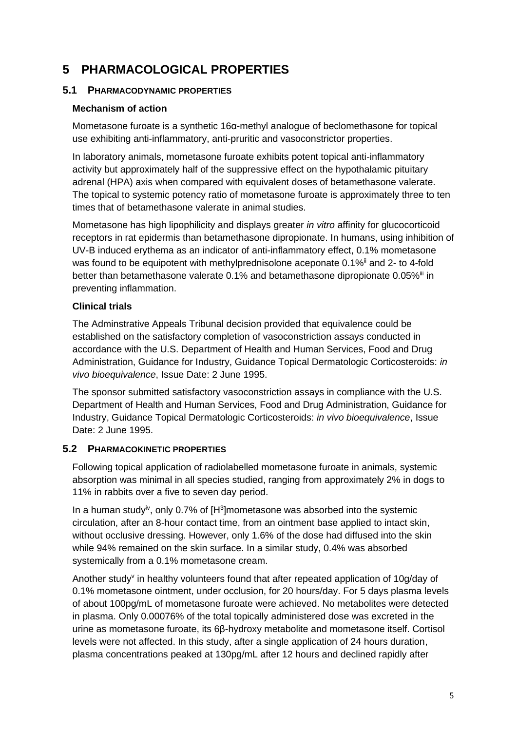# **5 PHARMACOLOGICAL PROPERTIES**

#### **5.1 PHARMACODYNAMIC PROPERTIES**

#### **Mechanism of action**

Mometasone furoate is a synthetic 16α-methyl analogue of beclomethasone for topical use exhibiting anti-inflammatory, anti-pruritic and vasoconstrictor properties.

In laboratory animals, mometasone furoate exhibits potent topical anti-inflammatory activity but approximately half of the suppressive effect on the hypothalamic pituitary adrenal (HPA) axis when compared with equivalent doses of betamethasone valerate. The topical to systemic potency ratio of mometasone furoate is approximately three to ten times that of betamethasone valerate in animal studies.

Mometasone has high lipophilicity and displays greater *in vitro* affinity for glucocorticoid receptors in rat epidermis than betamethasone dipropionate. In humans, using inhibition of UV-B induced erythema as an indicator of anti-inflammatory effect, 0.1% mometasone was found to be equipotent with methylprednisolone aceponate 0.1%<sup>ii</sup> and 2- to 4-fold better than betamethasone valerate 0.1% and betamethasone dipropionate 0.05%<sup>iii</sup> in preventing inflammation.

### **Clinical trials**

The Adminstrative Appeals Tribunal decision provided that equivalence could be established on the satisfactory completion of vasoconstriction assays conducted in accordance with the U.S. Department of Health and Human Services, Food and Drug Administration, Guidance for Industry, Guidance Topical Dermatologic Corticosteroids: *in vivo bioequivalence*, Issue Date: 2 June 1995.

The sponsor submitted satisfactory vasoconstriction assays in compliance with the U.S. Department of Health and Human Services, Food and Drug Administration, Guidance for Industry, Guidance Topical Dermatologic Corticosteroids: *in vivo bioequivalence*, Issue Date: 2 June 1995.

### **5.2 PHARMACOKINETIC PROPERTIES**

Following topical application of radiolabelled mometasone furoate in animals, systemic absorption was minimal in all species studied, ranging from approximately 2% in dogs to 11% in rabbits over a five to seven day period.

In a human study<sup>iv</sup>, only 0.7% of  $[H<sup>3</sup>]$ mometasone was absorbed into the systemic circulation, after an 8-hour contact time, from an ointment base applied to intact skin, without occlusive dressing. However, only 1.6% of the dose had diffused into the skin while 94% remained on the skin surface. In a similar study, 0.4% was absorbed systemically from a 0.1% mometasone cream.

Another study<sup>v</sup> in healthy volunteers found that after repeated application of 10g/day of 0.1% mometasone ointment, under occlusion, for 20 hours/day. For 5 days plasma levels of about 100pg/mL of mometasone furoate were achieved. No metabolites were detected in plasma. Only 0.00076% of the total topically administered dose was excreted in the urine as mometasone furoate, its 6β-hydroxy metabolite and mometasone itself. Cortisol levels were not affected. In this study, after a single application of 24 hours duration, plasma concentrations peaked at 130pg/mL after 12 hours and declined rapidly after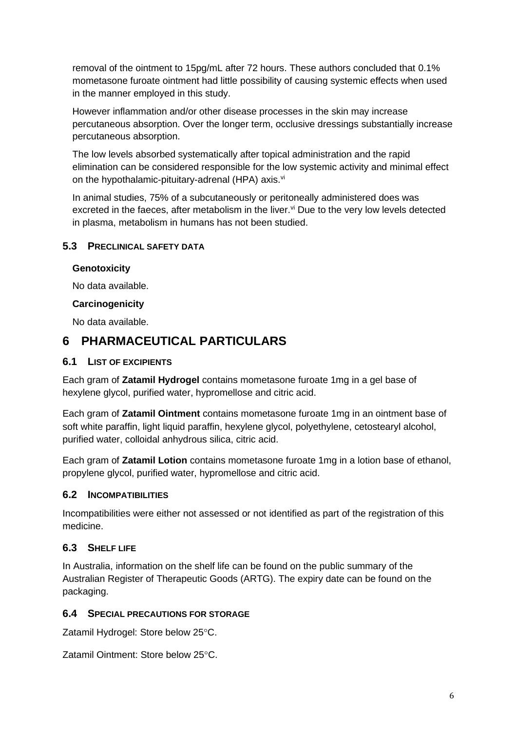removal of the ointment to 15pg/mL after 72 hours. These authors concluded that 0.1% mometasone furoate ointment had little possibility of causing systemic effects when used in the manner employed in this study.

However inflammation and/or other disease processes in the skin may increase percutaneous absorption. Over the longer term, occlusive dressings substantially increase percutaneous absorption.

The low levels absorbed systematically after topical administration and the rapid elimination can be considered responsible for the low systemic activity and minimal effect on the hypothalamic-pituitary-adrenal (HPA) axis.<sup>vi</sup>

In animal studies, 75% of a subcutaneously or peritoneally administered does was excreted in the faeces, after metabolism in the liver. $\vec{v}$  Due to the very low levels detected in plasma, metabolism in humans has not been studied.

## **5.3 PRECLINICAL SAFETY DATA**

### **Genotoxicity**

No data available.

#### **Carcinogenicity**

No data available.

## **6 PHARMACEUTICAL PARTICULARS**

### **6.1 LIST OF EXCIPIENTS**

Each gram of **Zatamil Hydrogel** contains mometasone furoate 1mg in a gel base of hexylene glycol, purified water, hypromellose and citric acid.

Each gram of **Zatamil Ointment** contains mometasone furoate 1mg in an ointment base of soft white paraffin, light liquid paraffin, hexylene glycol, polyethylene, cetostearyl alcohol, purified water, colloidal anhydrous silica, citric acid.

Each gram of **Zatamil Lotion** contains mometasone furoate 1mg in a lotion base of ethanol, propylene glycol, purified water, hypromellose and citric acid.

### **6.2 INCOMPATIBILITIES**

Incompatibilities were either not assessed or not identified as part of the registration of this medicine.

### **6.3 SHELF LIFE**

In Australia, information on the shelf life can be found on the public summary of the Australian Register of Therapeutic Goods (ARTG). The expiry date can be found on the packaging.

### **6.4 SPECIAL PRECAUTIONS FOR STORAGE**

Zatamil Hydrogel: Store below 25°C.

Zatamil Ointment: Store below 25°C.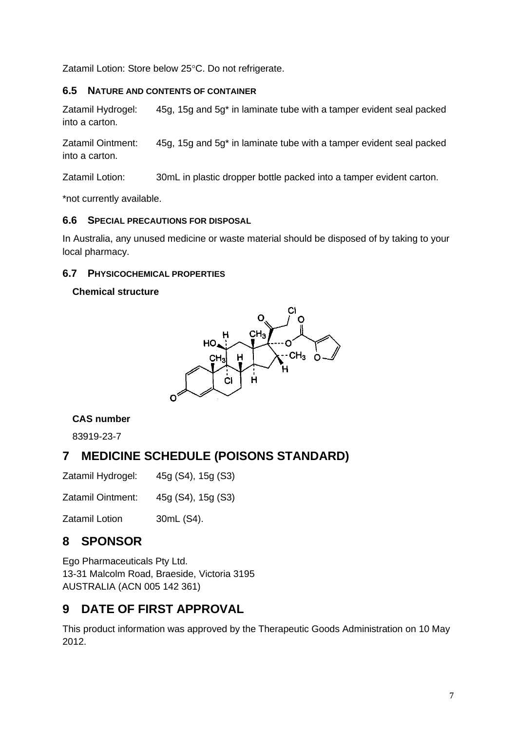Zatamil Lotion: Store below 25°C. Do not refrigerate.

#### **6.5 NATURE AND CONTENTS OF CONTAINER**

Zatamil Hydrogel: 45g, 15g and 5g\* in laminate tube with a tamper evident seal packed into a carton.

Zatamil Ointment: 45g, 15g and 5g\* in laminate tube with a tamper evident seal packed into a carton.

Zatamil Lotion: 30mL in plastic dropper bottle packed into a tamper evident carton.

\*not currently available.

#### **6.6 SPECIAL PRECAUTIONS FOR DISPOSAL**

In Australia, any unused medicine or waste material should be disposed of by taking to your local pharmacy.

### **6.7 PHYSICOCHEMICAL PROPERTIES**

### **Chemical structure**



### **CAS number**

83919-23-7

# **7 MEDICINE SCHEDULE (POISONS STANDARD)**

Zatamil Hydrogel: 45g (S4), 15g (S3)

Zatamil Ointment: 45g (S4), 15g (S3)

Zatamil Lotion 30mL (S4).

# **8 SPONSOR**

Ego Pharmaceuticals Pty Ltd. 13-31 Malcolm Road, Braeside, Victoria 3195 AUSTRALIA (ACN 005 142 361)

# **9 DATE OF FIRST APPROVAL**

This product information was approved by the Therapeutic Goods Administration on 10 May 2012.